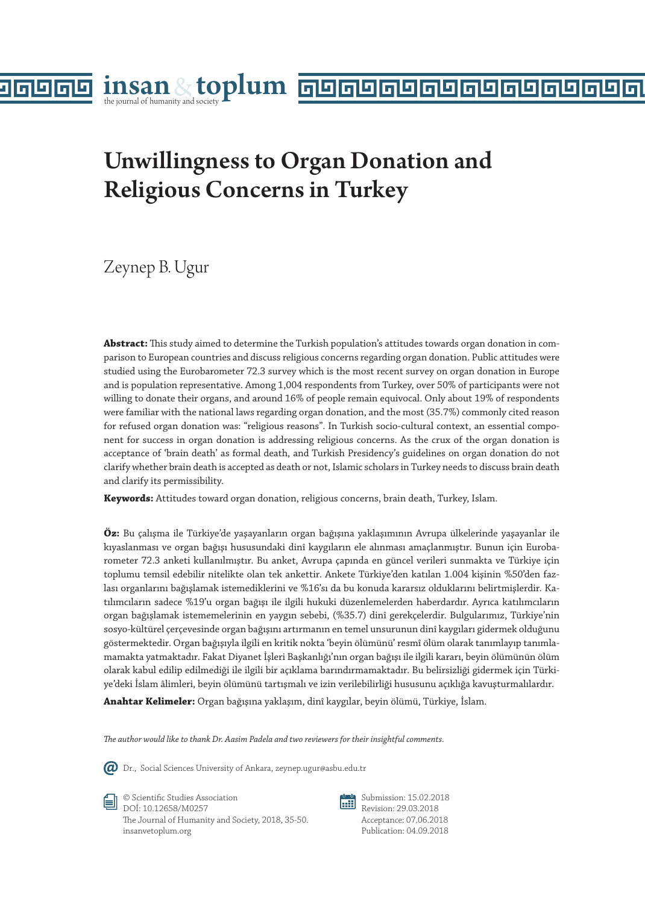# Unwillingness to Organ Donation and Religious Concerns in Turkey

Zeynep B. Ugur

96

lл

**Abstract:** This study aimed to determine the Turkish population's attitudes towards organ donation in comparison to European countries and discuss religious concerns regarding organ donation. Public attitudes were studied using the Eurobarometer 72.3 survey which is the most recent survey on organ donation in Europe and is population representative. Among 1,004 respondents from Turkey, over 50% of participants were not willing to donate their organs, and around 16% of people remain equivocal. Only about 19% of respondents were familiar with the national laws regarding organ donation, and the most (35.7%) commonly cited reason for refused organ donation was: "religious reasons". In Turkish socio-cultural context, an essential component for success in organ donation is addressing religious concerns. As the crux of the organ donation is acceptance of 'brain death' as formal death, and Turkish Presidency's guidelines on organ donation do not clarify whether brain death is accepted as death or not, Islamic scholars in Turkey needs to discuss brain death and clarify its permissibility.

**Keywords:** Attitudes toward organ donation, religious concerns, brain death, Turkey, Islam.

**Öz:** Bu çalışma ile Türkiye'de yaşayanların organ bağışına yaklaşımının Avrupa ülkelerinde yaşayanlar ile kıyaslanması ve organ bağışı hususundaki dinî kaygıların ele alınması amaçlanmıştır. Bunun için Eurobarometer 72.3 anketi kullanılmıştır. Bu anket, Avrupa çapında en güncel verileri sunmakta ve Türkiye için toplumu temsil edebilir nitelikte olan tek ankettir. Ankete Türkiye'den katılan 1.004 kişinin %50'den fazlası organlarını bağışlamak istemediklerini ve %16'sı da bu konuda kararsız olduklarını belirtmişlerdir. Katılımcıların sadece %19'u organ bağışı ile ilgili hukuki düzenlemelerden haberdardır. Ayrıca katılımcıların organ bağışlamak istememelerinin en yaygın sebebi, (%35.7) dinî gerekçelerdir. Bulgularımız, Türkiye'nin sosyo-kültürel çerçevesinde organ bağışını artırmanın en temel unsurunun dinî kaygıları gidermek olduğunu göstermektedir. Organ bağışıyla ilgili en kritik nokta 'beyin ölümünü' resmî ölüm olarak tanımlayıp tanımlamamakta yatmaktadır. Fakat Diyanet İşleri Başkanlığı'nın organ bağışı ile ilgili kararı, beyin ölümünün ölüm olarak kabul edilip edilmediği ile ilgili bir açıklama barındırmamaktadır. Bu belirsizliği gidermek için Türkiye'deki İslam âlimleri, beyin ölümünü tartışmalı ve izin verilebilirliği hususunu açıklığa kavuşturmalılardır.

**Anahtar Kelimeler:** Organ bağışına yaklaşım, dinî kaygılar, beyin ölümü, Türkiye, İslam.

*The author would like to thank Dr. Aasim Padela and two reviewers for their insightful comments.*



Dr., Social Sciences University of Ankara, zeynep.ugur@asbu.edu.tr

© Scientific Studies Association DOİ: 10.12658/M0257 The Journal of Humanity and Society, 2018, 35-50. insanvetoplum.org

顧

Submission: 15.02.2018 Revision: 29.03.2018 Acceptance: 07.06.2018 Publication: 04.09.2018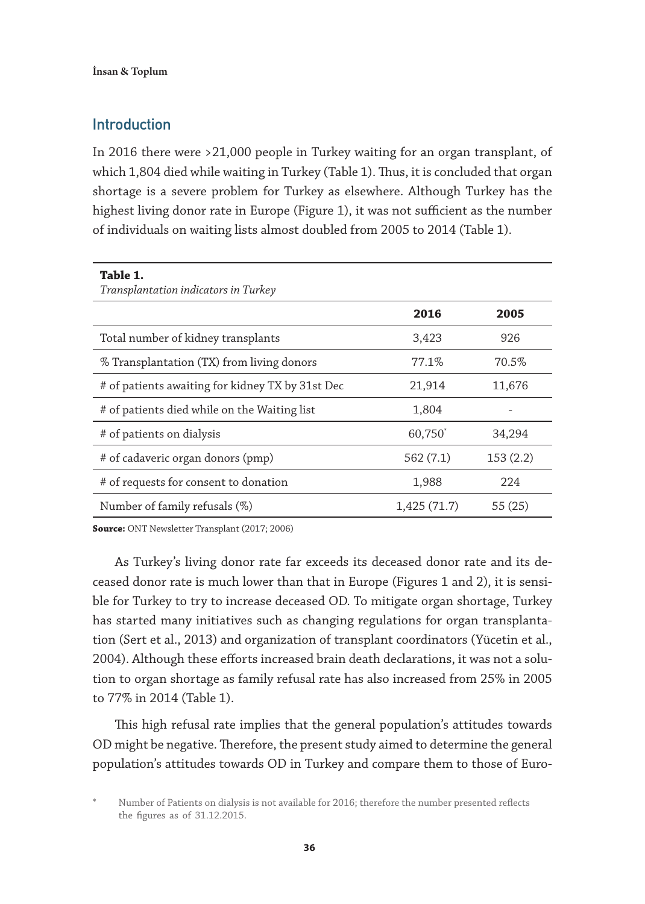# Introduction

In 2016 there were >21,000 people in Turkey waiting for an organ transplant, of which 1,804 died while waiting in Turkey (Table 1). Thus, it is concluded that organ shortage is a severe problem for Turkey as elsewhere. Although Turkey has the highest living donor rate in Europe (Figure 1), it was not sufficient as the number of individuals on waiting lists almost doubled from 2005 to 2014 (Table 1).

| Table 1.<br>Transplantation indicators in Turkey |             |          |
|--------------------------------------------------|-------------|----------|
|                                                  | 2016        | 2005     |
| Total number of kidney transplants               | 3,423       | 926      |
| % Transplantation (TX) from living donors        | 77.1%       | 70.5%    |
| # of patients awaiting for kidney TX by 31st Dec | 21,914      | 11,676   |
| # of patients died while on the Waiting list     | 1,804       |          |
| # of patients on dialysis                        | 60,750      | 34,294   |
| # of cadaveric organ donors (pmp)                | 562 (7.1)   | 153(2.2) |
| # of requests for consent to donation            | 1,988       | 224      |
| Number of family refusals (%)                    | 1,425(71.7) | 55 (25)  |

**Source:** ONT Newsletter Transplant (2017; 2006)

As Turkey's living donor rate far exceeds its deceased donor rate and its deceased donor rate is much lower than that in Europe (Figures 1 and 2), it is sensible for Turkey to try to increase deceased OD. To mitigate organ shortage, Turkey has started many initiatives such as changing regulations for organ transplantation (Sert et al., 2013) and organization of transplant coordinators (Yücetin et al., 2004). Although these efforts increased brain death declarations, it was not a solution to organ shortage as family refusal rate has also increased from 25% in 2005 to 77% in 2014 (Table 1).

This high refusal rate implies that the general population's attitudes towards OD might be negative. Therefore, the present study aimed to determine the general population's attitudes towards OD in Turkey and compare them to those of Euro-

Number of Patients on dialysis is not available for 2016; therefore the number presented reflects the figures as of 31.12.2015.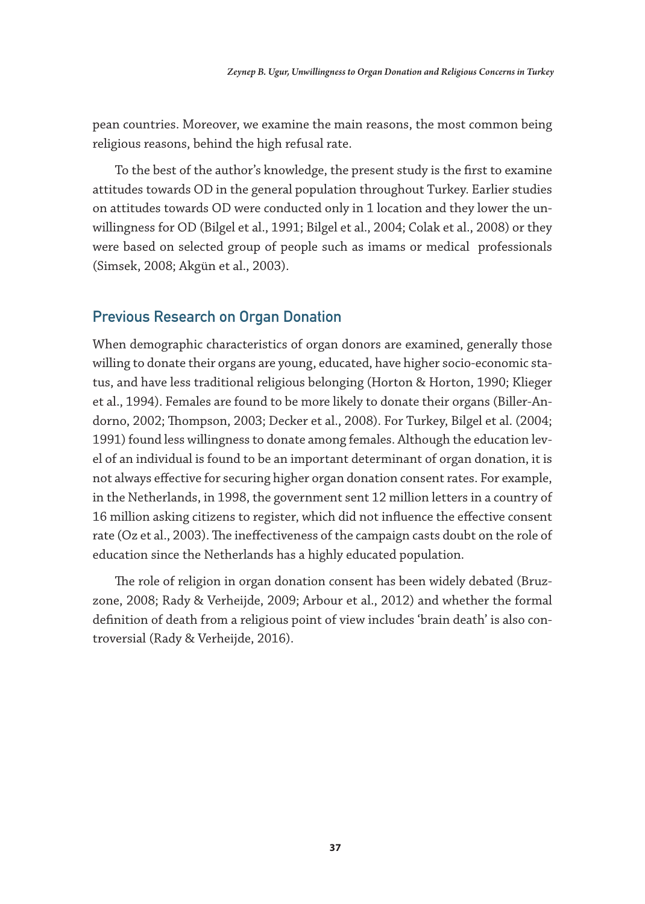pean countries. Moreover, we examine the main reasons, the most common being religious reasons, behind the high refusal rate.

To the best of the author's knowledge, the present study is the first to examine attitudes towards OD in the general population throughout Turkey. Earlier studies on attitudes towards OD were conducted only in 1 location and they lower the unwillingness for OD (Bilgel et al., 1991; Bilgel et al., 2004; Colak et al., 2008) or they were based on selected group of people such as imams or medical professionals (Simsek, 2008; Akgün et al., 2003).

## Previous Research on Organ Donation

When demographic characteristics of organ donors are examined, generally those willing to donate their organs are young, educated, have higher socio-economic status, and have less traditional religious belonging (Horton & Horton, 1990; Klieger et al., 1994). Females are found to be more likely to donate their organs (Biller-Andorno, 2002; Thompson, 2003; Decker et al., 2008). For Turkey, Bilgel et al. (2004; 1991) found less willingness to donate among females. Although the education level of an individual is found to be an important determinant of organ donation, it is not always effective for securing higher organ donation consent rates. For example, in the Netherlands, in 1998, the government sent 12 million letters in a country of 16 million asking citizens to register, which did not influence the effective consent rate (Oz et al., 2003). The ineffectiveness of the campaign casts doubt on the role of education since the Netherlands has a highly educated population.

The role of religion in organ donation consent has been widely debated (Bruzzone, 2008; Rady & Verheijde, 2009; Arbour et al., 2012) and whether the formal definition of death from a religious point of view includes 'brain death' is also controversial (Rady & Verheijde, 2016).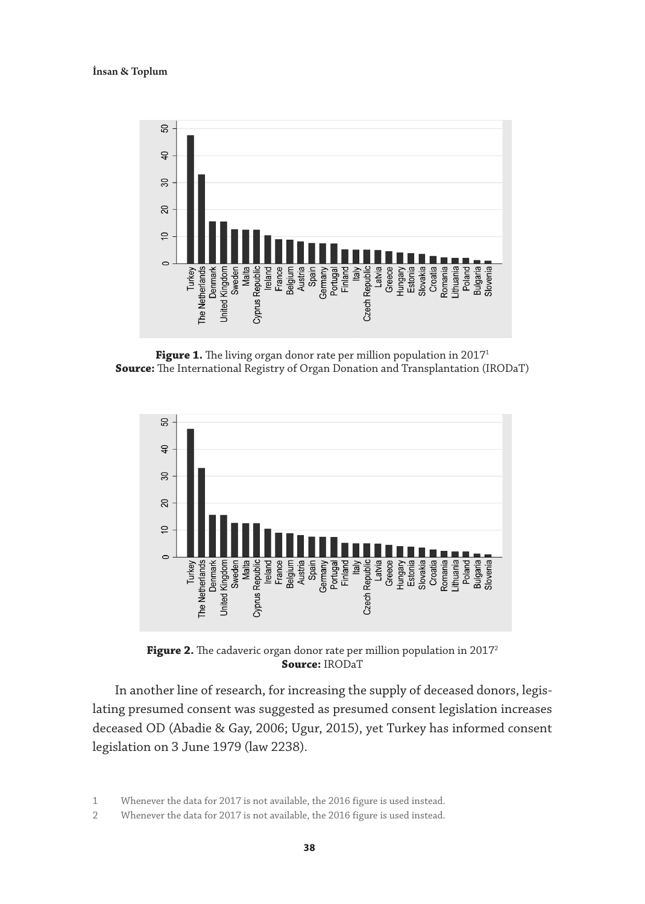İnsan & Toplum



Figure 1. The living organ donor rate per million population in 2017<sup>1</sup> **Source:** The International Registry of Organ Donation and Transplantation (IRODaT)



Figure 2. The cadaveric organ donor rate per million population in 2017<sup>2</sup> **Source:** IRODaT

In another line of research, for increasing the supply of deceased donors, legislating presumed consent was suggested as presumed consent legislation increases deceased OD (Abadie & Gay, 2006; Ugur, 2015), yet Turkey has informed consent legislation on 3 June 1979 (law 2238).

1 Whenever the data for 2017 is not available, the 2016 figure is used instead.

2 Whenever the data for 2017 is not available, the 2016 figure is used instead.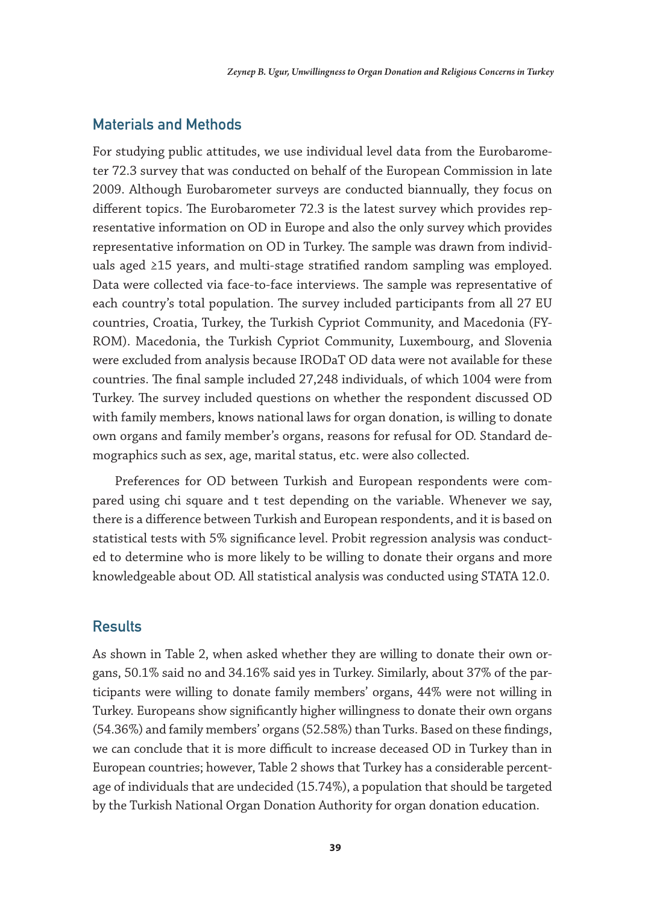## Materials and Methods

For studying public attitudes, we use individual level data from the Eurobarometer 72.3 survey that was conducted on behalf of the European Commission in late 2009. Although Eurobarometer surveys are conducted biannually, they focus on different topics. The Eurobarometer 72.3 is the latest survey which provides representative information on OD in Europe and also the only survey which provides representative information on OD in Turkey. The sample was drawn from individuals aged ≥15 years, and multi-stage stratified random sampling was employed. Data were collected via face-to-face interviews. The sample was representative of each country's total population. The survey included participants from all 27 EU countries, Croatia, Turkey, the Turkish Cypriot Community, and Macedonia (FY-ROM). Macedonia, the Turkish Cypriot Community, Luxembourg, and Slovenia were excluded from analysis because IRODaT OD data were not available for these countries. The final sample included 27,248 individuals, of which 1004 were from Turkey. The survey included questions on whether the respondent discussed OD with family members, knows national laws for organ donation, is willing to donate own organs and family member's organs, reasons for refusal for OD. Standard demographics such as sex, age, marital status, etc. were also collected.

Preferences for OD between Turkish and European respondents were compared using chi square and t test depending on the variable. Whenever we say, there is a difference between Turkish and European respondents, and it is based on statistical tests with 5% significance level. Probit regression analysis was conducted to determine who is more likely to be willing to donate their organs and more knowledgeable about OD. All statistical analysis was conducted using STATA 12.0.

## **Results**

As shown in Table 2, when asked whether they are willing to donate their own organs, 50.1% said no and 34.16% said yes in Turkey. Similarly, about 37% of the participants were willing to donate family members' organs, 44% were not willing in Turkey. Europeans show significantly higher willingness to donate their own organs (54.36%) and family members' organs (52.58%) than Turks. Based on these findings, we can conclude that it is more difficult to increase deceased OD in Turkey than in European countries; however, Table 2 shows that Turkey has a considerable percentage of individuals that are undecided (15.74%), a population that should be targeted by the Turkish National Organ Donation Authority for organ donation education.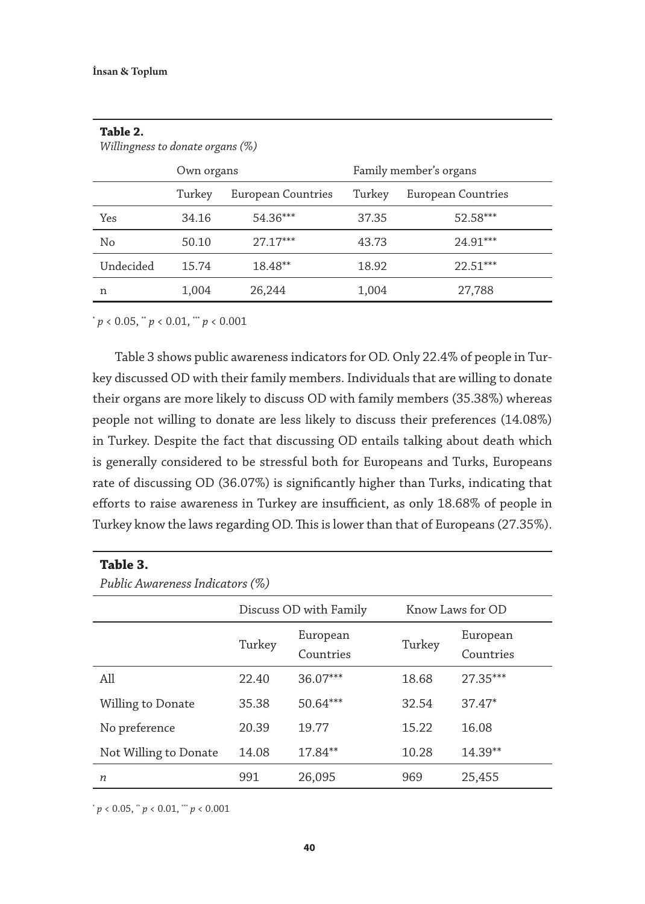| Willingness to donate organs $(\%)$ |            |                    |        |                        |
|-------------------------------------|------------|--------------------|--------|------------------------|
|                                     | Own organs |                    |        | Family member's organs |
|                                     | Turkey     | European Countries | Turkey | European Countries     |
| Yes                                 | 34.16      | 54.36***           | 37.35  | 52.58***               |
| No                                  | 50.10      | $27.17***$         | 43.73  | 24.91***               |
| Undecided                           | 15.74      | 18.48**            | 18.92  | $22.51***$             |
| n                                   | 1,004      | 26,244             | 1,004  | 27,788                 |

**Table 2.** 

 $p < 0.05$ ,  $p < 0.01$ ,  $p < 0.001$ 

Table 3 shows public awareness indicators for OD. Only 22.4% of people in Turkey discussed OD with their family members. Individuals that are willing to donate their organs are more likely to discuss OD with family members (35.38%) whereas people not willing to donate are less likely to discuss their preferences (14.08%) in Turkey. Despite the fact that discussing OD entails talking about death which is generally considered to be stressful both for Europeans and Turks, Europeans rate of discussing OD (36.07%) is significantly higher than Turks, indicating that efforts to raise awareness in Turkey are insufficient, as only 18.68% of people in Turkey know the laws regarding OD. This is lower than that of Europeans (27.35%).

#### **Table 3.**

*Public Awareness Indicators (%)*

|                       | Discuss OD with Family |                       | Know Laws for OD |                       |
|-----------------------|------------------------|-----------------------|------------------|-----------------------|
|                       | Turkey                 | European<br>Countries | Turkey           | European<br>Countries |
| All                   | 22.40                  | 36.07***              | 18.68            | $27.35***$            |
| Willing to Donate     | 35.38                  | 50.64***              | 32.54            | $37.47*$              |
| No preference         | 20.39                  | 19.77                 | 15.22            | 16.08                 |
| Not Willing to Donate | 14.08                  | $17.84**$             | 10.28            | $14.39**$             |
| n                     | 991                    | 26,095                | 969              | 25,455                |

 $p < 0.05$ ,  $p < 0.01$ ,  $p < 0.001$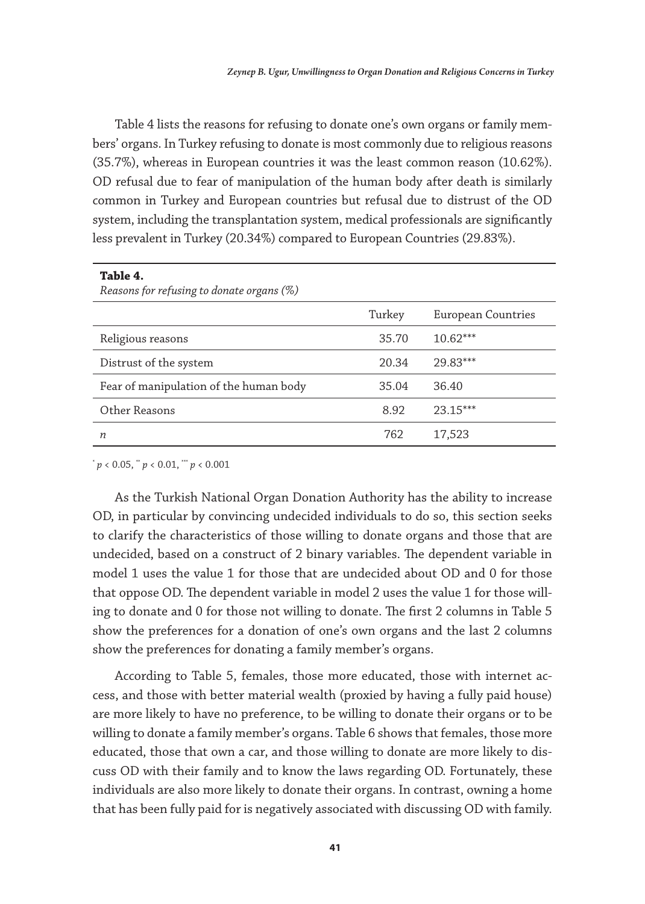Table 4 lists the reasons for refusing to donate one's own organs or family members' organs. In Turkey refusing to donate is most commonly due to religious reasons (35.7%), whereas in European countries it was the least common reason (10.62%). OD refusal due to fear of manipulation of the human body after death is similarly common in Turkey and European countries but refusal due to distrust of the OD system, including the transplantation system, medical professionals are significantly less prevalent in Turkey (20.34%) compared to European Countries (29.83%).

| Table 4.<br>Reasons for refusing to donate organs (%) |        |                    |
|-------------------------------------------------------|--------|--------------------|
|                                                       | Turkey | European Countries |
| Religious reasons                                     | 35.70  | $10.62***$         |
| Distrust of the system                                | 20.34  | 29.83***           |
| Fear of manipulation of the human body                | 35.04  | 36.40              |
| Other Reasons                                         | 8.92   | $23.15***$         |
| $\boldsymbol{n}$                                      | 762    | 17,523             |

 $p < 0.05$ ,  $p < 0.01$ ,  $p < 0.001$ 

As the Turkish National Organ Donation Authority has the ability to increase OD, in particular by convincing undecided individuals to do so, this section seeks to clarify the characteristics of those willing to donate organs and those that are undecided, based on a construct of 2 binary variables. The dependent variable in model 1 uses the value 1 for those that are undecided about OD and 0 for those that oppose OD. The dependent variable in model 2 uses the value 1 for those willing to donate and 0 for those not willing to donate. The first 2 columns in Table 5 show the preferences for a donation of one's own organs and the last 2 columns show the preferences for donating a family member's organs.

According to Table 5, females, those more educated, those with internet access, and those with better material wealth (proxied by having a fully paid house) are more likely to have no preference, to be willing to donate their organs or to be willing to donate a family member's organs. Table 6 shows that females, those more educated, those that own a car, and those willing to donate are more likely to discuss OD with their family and to know the laws regarding OD. Fortunately, these individuals are also more likely to donate their organs. In contrast, owning a home that has been fully paid for is negatively associated with discussing OD with family.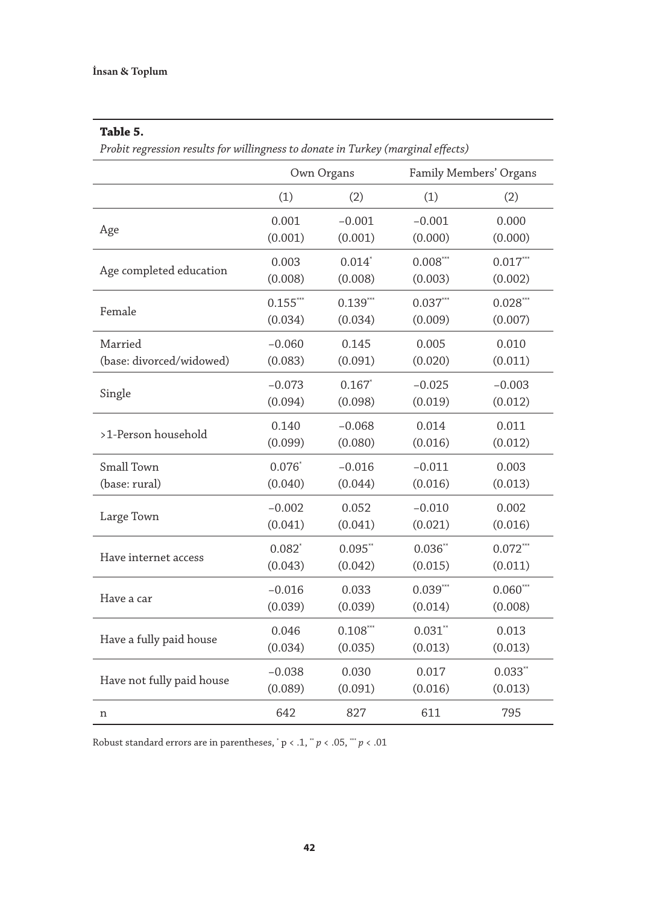#### **Table 5.**

*Probit regression results for willingness to donate in Turkey (marginal effects)*

|                           | Own Organs |            | Family Members' Organs |            |
|---------------------------|------------|------------|------------------------|------------|
|                           | (1)        | (2)        | (1)                    | (2)        |
| Age                       | 0.001      | $-0.001$   | $-0.001$               | 0.000      |
|                           | (0.001)    | (0.001)    | (0.000)                | (0.000)    |
| Age completed education   | 0.003      | $0.014*$   | $0.008***$             | $0.017***$ |
|                           | (0.008)    | (0.008)    | (0.003)                | (0.002)    |
| Female                    | $0.155***$ | $0.139***$ | $0.037***$             | $0.028***$ |
|                           | (0.034)    | (0.034)    | (0.009)                | (0.007)    |
| Married                   | $-0.060$   | 0.145      | 0.005                  | 0.010      |
| (base: divorced/widowed)  | (0.083)    | (0.091)    | (0.020)                | (0.011)    |
| Single                    | $-0.073$   | $0.167*$   | $-0.025$               | $-0.003$   |
|                           | (0.094)    | (0.098)    | (0.019)                | (0.012)    |
| >1-Person household       | 0.140      | $-0.068$   | 0.014                  | 0.011      |
|                           | (0.099)    | (0.080)    | (0.016)                | (0.012)    |
| Small Town                | $0.076*$   | $-0.016$   | $-0.011$               | 0.003      |
| (base: rural)             | (0.040)    | (0.044)    | (0.016)                | (0.013)    |
| Large Town                | $-0.002$   | 0.052      | $-0.010$               | 0.002      |
|                           | (0.041)    | (0.041)    | (0.021)                | (0.016)    |
| Have internet access      | $0.082*$   | $0.095$ ** | $0.036**$              | $0.072***$ |
|                           | (0.043)    | (0.042)    | (0.015)                | (0.011)    |
| Have a car                | $-0.016$   | 0.033      | $0.039***$             | $0.060***$ |
|                           | (0.039)    | (0.039)    | (0.014)                | (0.008)    |
| Have a fully paid house   | 0.046      | $0.108***$ | $0.031$ **             | 0.013      |
|                           | (0.034)    | (0.035)    | (0.013)                | (0.013)    |
| Have not fully paid house | $-0.038$   | 0.030      | 0.017                  | $0.033**$  |
|                           | (0.089)    | (0.091)    | (0.016)                | (0.013)    |
| n                         | 642        | 827        | 611                    | 795        |

Robust standard errors are in parentheses,  $p < .1, p < .05, \cdots p < .01$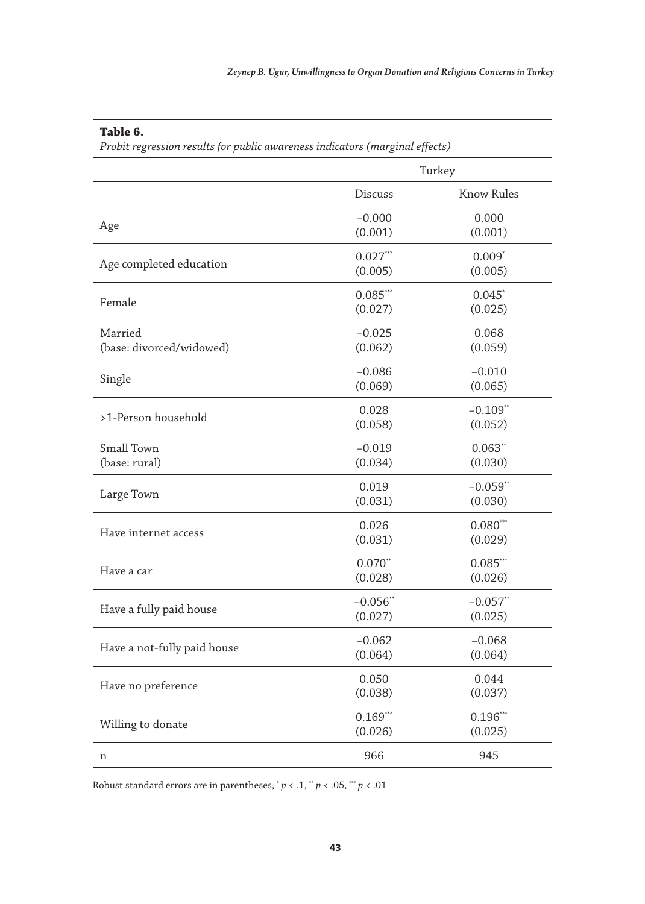## **Table 6.**

*Probit regression results for public awareness indicators (marginal effects)*

|                                     | Turkey                 |                        |
|-------------------------------------|------------------------|------------------------|
|                                     | Discuss                | Know Rules             |
| Age                                 | $-0.000$<br>(0.001)    | 0.000<br>(0.001)       |
| Age completed education             | $0.027***$<br>(0.005)  | $0.009*$<br>(0.005)    |
| Female                              | $0.085***$<br>(0.027)  | $0.045*$<br>(0.025)    |
| Married<br>(base: divorced/widowed) | $-0.025$<br>(0.062)    | 0.068<br>(0.059)       |
| Single                              | $-0.086$<br>(0.069)    | $-0.010$<br>(0.065)    |
| >1-Person household                 | 0.028<br>(0.058)       | $-0.109**$<br>(0.052)  |
| Small Town<br>(base: rural)         | $-0.019$<br>(0.034)    | $0.063$ **<br>(0.030)  |
| Large Town                          | 0.019<br>(0.031)       | $-0.059$ **<br>(0.030) |
| Have internet access                | 0.026<br>(0.031)       | $0.080***$<br>(0.029)  |
| Have a car                          | $0.070**$<br>(0.028)   | $0.085***$<br>(0.026)  |
| Have a fully paid house             | $-0.056$ **<br>(0.027) | $-0.057$ **<br>(0.025) |
| Have a not-fully paid house         | $-0.062$<br>(0.064)    | $-0.068$<br>(0.064)    |
| Have no preference                  | 0.050<br>(0.038)       | 0.044<br>(0.037)       |
| Willing to donate                   | $0.169***$<br>(0.026)  | $0.196***$<br>(0.025)  |
| n                                   | 966                    | 945                    |

Robust standard errors are in parentheses,  $p < 0.1$ ,  $p < 0.05$ ,  $p < 0.01$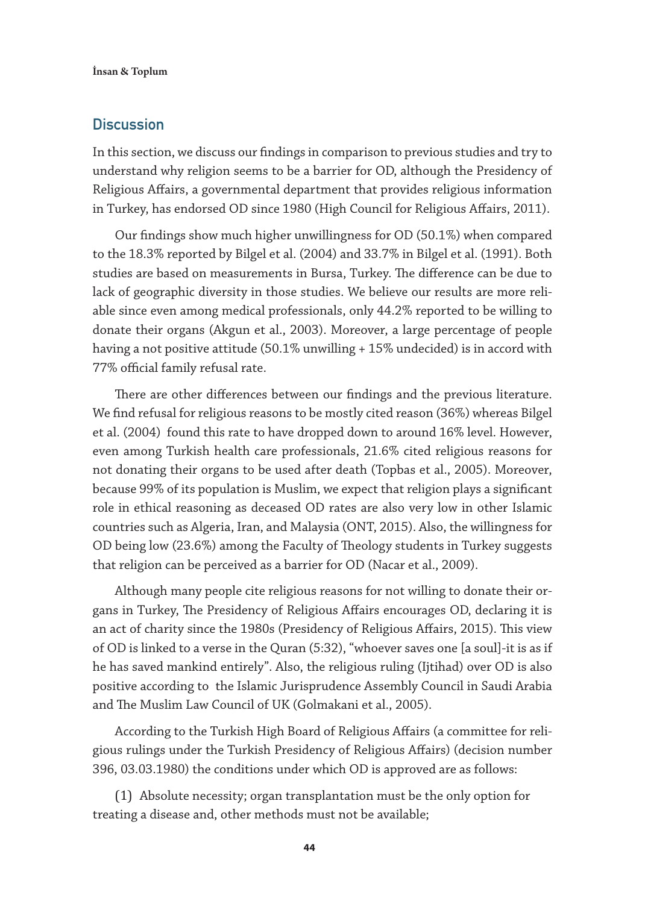## **Discussion**

In this section, we discuss our findings in comparison to previous studies and try to understand why religion seems to be a barrier for OD, although the Presidency of Religious Affairs, a governmental department that provides religious information in Turkey, has endorsed OD since 1980 (High Council for Religious Affairs, 2011).

Our findings show much higher unwillingness for OD (50.1%) when compared to the 18.3% reported by Bilgel et al. (2004) and 33.7% in Bilgel et al. (1991). Both studies are based on measurements in Bursa, Turkey. The difference can be due to lack of geographic diversity in those studies. We believe our results are more reliable since even among medical professionals, only 44.2% reported to be willing to donate their organs (Akgun et al., 2003). Moreover, a large percentage of people having a not positive attitude (50.1% unwilling + 15% undecided) is in accord with 77% official family refusal rate.

There are other differences between our findings and the previous literature. We find refusal for religious reasons to be mostly cited reason (36%) whereas Bilgel et al. (2004) found this rate to have dropped down to around 16% level. However, even among Turkish health care professionals, 21.6% cited religious reasons for not donating their organs to be used after death (Topbas et al., 2005). Moreover, because 99% of its population is Muslim, we expect that religion plays a significant role in ethical reasoning as deceased OD rates are also very low in other Islamic countries such as Algeria, Iran, and Malaysia (ONT, 2015). Also, the willingness for OD being low (23.6%) among the Faculty of Theology students in Turkey suggests that religion can be perceived as a barrier for OD (Nacar et al., 2009).

Although many people cite religious reasons for not willing to donate their organs in Turkey, The Presidency of Religious Affairs encourages OD, declaring it is an act of charity since the 1980s (Presidency of Religious Affairs, 2015). This view of OD is linked to a verse in the Quran (5:32), "whoever saves one [a soul]-it is as if he has saved mankind entirely". Also, the religious ruling (Ijtihad) over OD is also positive according to the Islamic Jurisprudence Assembly Council in Saudi Arabia and The Muslim Law Council of UK (Golmakani et al., 2005).

According to the Turkish High Board of Religious Affairs (a committee for religious rulings under the Turkish Presidency of Religious Affairs) (decision number 396, 03.03.1980) the conditions under which OD is approved are as follows:

(1) Absolute necessity; organ transplantation must be the only option for treating a disease and, other methods must not be available;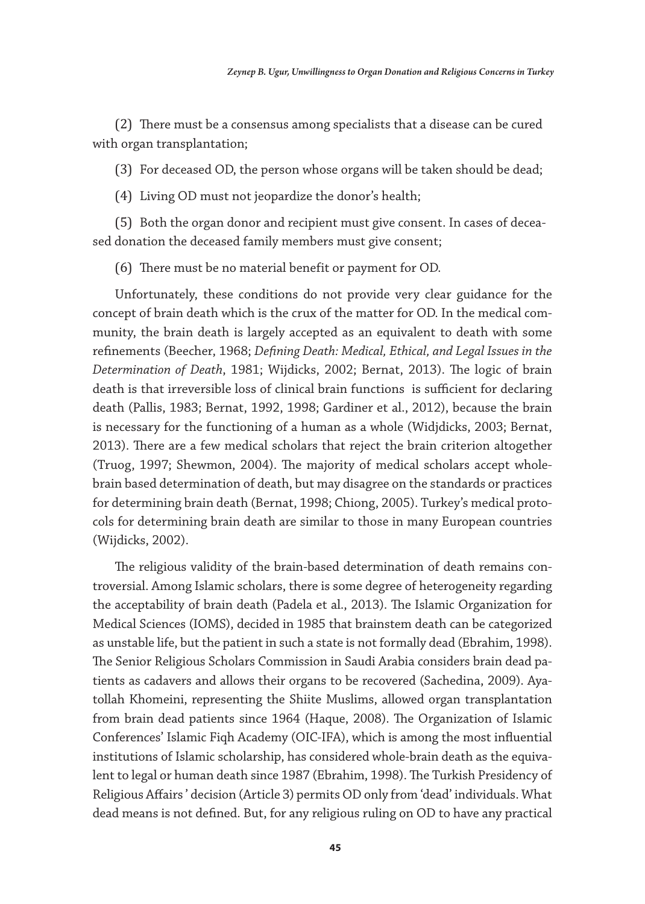(2) There must be a consensus among specialists that a disease can be cured with organ transplantation;

(3) For deceased OD, the person whose organs will be taken should be dead;

(4) Living OD must not jeopardize the donor's health;

(5) Both the organ donor and recipient must give consent. In cases of deceased donation the deceased family members must give consent;

(6) There must be no material benefit or payment for OD.

Unfortunately, these conditions do not provide very clear guidance for the concept of brain death which is the crux of the matter for OD. In the medical community, the brain death is largely accepted as an equivalent to death with some refinements (Beecher, 1968; *Defining Death: Medical, Ethical, and Legal Issues in the Determination of Death*, 1981; Wijdicks, 2002; Bernat, 2013). The logic of brain death is that irreversible loss of clinical brain functions is sufficient for declaring death (Pallis, 1983; Bernat, 1992, 1998; Gardiner et al., 2012), because the brain is necessary for the functioning of a human as a whole (Widjdicks, 2003; Bernat, 2013). There are a few medical scholars that reject the brain criterion altogether (Truog, 1997; Shewmon, 2004). The majority of medical scholars accept wholebrain based determination of death, but may disagree on the standards or practices for determining brain death (Bernat, 1998; Chiong, 2005). Turkey's medical protocols for determining brain death are similar to those in many European countries (Wijdicks, 2002).

The religious validity of the brain-based determination of death remains controversial. Among Islamic scholars, there is some degree of heterogeneity regarding the acceptability of brain death (Padela et al., 2013). The Islamic Organization for Medical Sciences (IOMS), decided in 1985 that brainstem death can be categorized as unstable life, but the patient in such a state is not formally dead (Ebrahim, 1998). The Senior Religious Scholars Commission in Saudi Arabia considers brain dead patients as cadavers and allows their organs to be recovered (Sachedina, 2009). Ayatollah Khomeini, representing the Shiite Muslims, allowed organ transplantation from brain dead patients since 1964 (Haque, 2008). The Organization of Islamic Conferences' Islamic Fiqh Academy (OIC-IFA), which is among the most influential institutions of Islamic scholarship, has considered whole-brain death as the equivalent to legal or human death since 1987 (Ebrahim, 1998). The Turkish Presidency of Religious Affairs ' decision (Article 3) permits OD only from 'dead' individuals. What dead means is not defined. But, for any religious ruling on OD to have any practical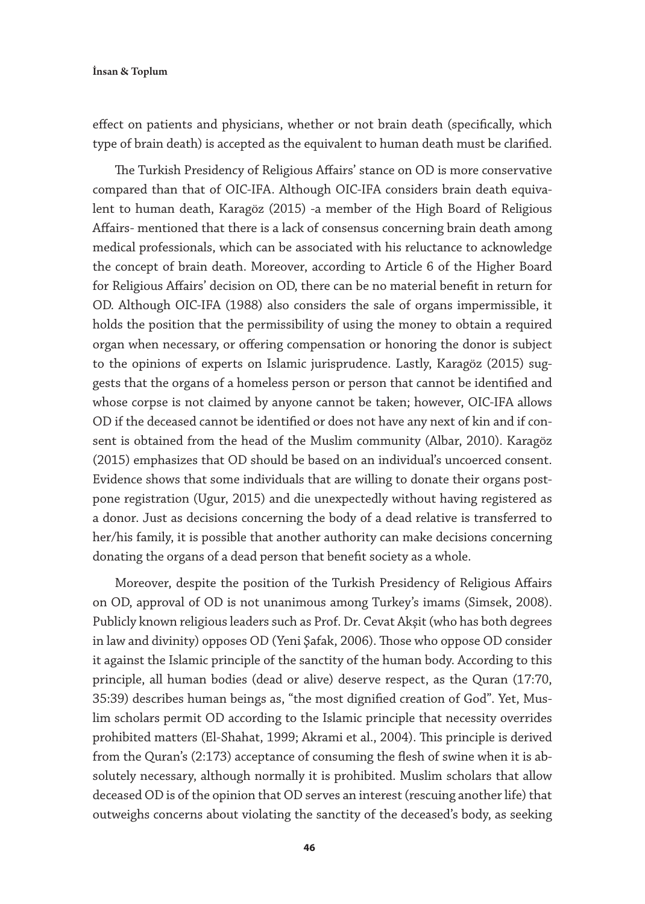effect on patients and physicians, whether or not brain death (specifically, which type of brain death) is accepted as the equivalent to human death must be clarified.

The Turkish Presidency of Religious Affairs' stance on OD is more conservative compared than that of OIC-IFA. Although OIC-IFA considers brain death equivalent to human death, Karagöz (2015) -a member of the High Board of Religious Affairs- mentioned that there is a lack of consensus concerning brain death among medical professionals, which can be associated with his reluctance to acknowledge the concept of brain death. Moreover, according to Article 6 of the Higher Board for Religious Affairs' decision on OD, there can be no material benefit in return for OD. Although OIC-IFA (1988) also considers the sale of organs impermissible, it holds the position that the permissibility of using the money to obtain a required organ when necessary, or offering compensation or honoring the donor is subject to the opinions of experts on Islamic jurisprudence. Lastly, Karagöz (2015) suggests that the organs of a homeless person or person that cannot be identified and whose corpse is not claimed by anyone cannot be taken; however, OIC-IFA allows OD if the deceased cannot be identified or does not have any next of kin and if consent is obtained from the head of the Muslim community (Albar, 2010). Karagöz (2015) emphasizes that OD should be based on an individual's uncoerced consent. Evidence shows that some individuals that are willing to donate their organs postpone registration (Ugur, 2015) and die unexpectedly without having registered as a donor. Just as decisions concerning the body of a dead relative is transferred to her/his family, it is possible that another authority can make decisions concerning donating the organs of a dead person that benefit society as a whole.

Moreover, despite the position of the Turkish Presidency of Religious Affairs on OD, approval of OD is not unanimous among Turkey's imams (Simsek, 2008). Publicly known religious leaders such as Prof. Dr. Cevat Akşit (who has both degrees in law and divinity) opposes OD (Yeni Şafak, 2006). Those who oppose OD consider it against the Islamic principle of the sanctity of the human body. According to this principle, all human bodies (dead or alive) deserve respect, as the Quran (17:70, 35:39) describes human beings as, "the most dignified creation of God". Yet, Muslim scholars permit OD according to the Islamic principle that necessity overrides prohibited matters (El-Shahat, 1999; Akrami et al., 2004). This principle is derived from the Quran's (2:173) acceptance of consuming the flesh of swine when it is absolutely necessary, although normally it is prohibited. Muslim scholars that allow deceased OD is of the opinion that OD serves an interest (rescuing another life) that outweighs concerns about violating the sanctity of the deceased's body, as seeking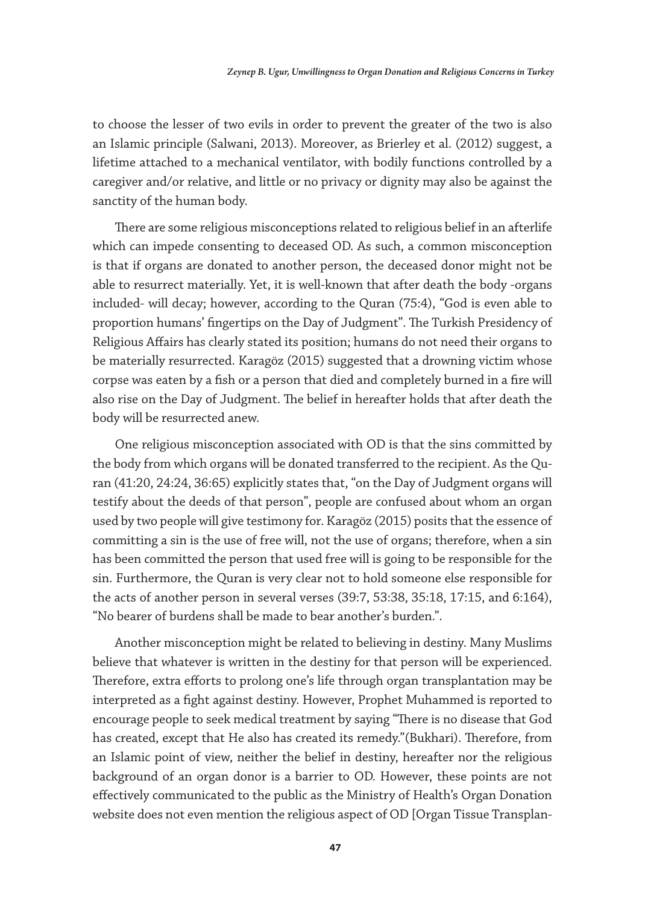to choose the lesser of two evils in order to prevent the greater of the two is also an Islamic principle (Salwani, 2013). Moreover, as Brierley et al. (2012) suggest, a lifetime attached to a mechanical ventilator, with bodily functions controlled by a caregiver and/or relative, and little or no privacy or dignity may also be against the sanctity of the human body.

There are some religious misconceptions related to religious belief in an afterlife which can impede consenting to deceased OD. As such, a common misconception is that if organs are donated to another person, the deceased donor might not be able to resurrect materially. Yet, it is well-known that after death the body -organs included- will decay; however, according to the Quran (75:4), "God is even able to proportion humans' fingertips on the Day of Judgment". The Turkish Presidency of Religious Affairs has clearly stated its position; humans do not need their organs to be materially resurrected. Karagöz (2015) suggested that a drowning victim whose corpse was eaten by a fish or a person that died and completely burned in a fire will also rise on the Day of Judgment. The belief in hereafter holds that after death the body will be resurrected anew.

One religious misconception associated with OD is that the sins committed by the body from which organs will be donated transferred to the recipient. As the Quran (41:20, 24:24, 36:65) explicitly states that, "on the Day of Judgment organs will testify about the deeds of that person", people are confused about whom an organ used by two people will give testimony for. Karagöz (2015) posits that the essence of committing a sin is the use of free will, not the use of organs; therefore, when a sin has been committed the person that used free will is going to be responsible for the sin. Furthermore, the Quran is very clear not to hold someone else responsible for the acts of another person in several verses (39:7, 53:38, 35:18, 17:15, and 6:164), "No bearer of burdens shall be made to bear another's burden.".

Another misconception might be related to believing in destiny. Many Muslims believe that whatever is written in the destiny for that person will be experienced. Therefore, extra efforts to prolong one's life through organ transplantation may be interpreted as a fight against destiny. However, Prophet Muhammed is reported to encourage people to seek medical treatment by saying "There is no disease that God has created, except that He also has created its remedy."(Bukhari). Therefore, from an Islamic point of view, neither the belief in destiny, hereafter nor the religious background of an organ donor is a barrier to OD. However, these points are not effectively communicated to the public as the Ministry of Health's Organ Donation website does not even mention the religious aspect of OD [Organ Tissue Transplan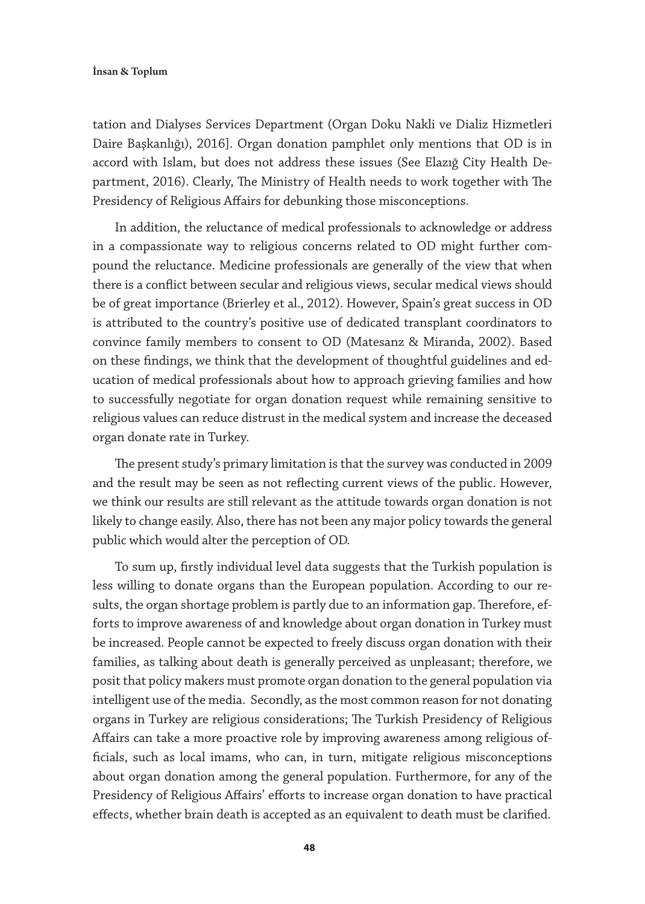tation and Dialyses Services Department (Organ Doku Nakli ve Dializ Hizmetleri Daire Başkanlığı), 2016]. Organ donation pamphlet only mentions that OD is in accord with Islam, but does not address these issues (See Elazığ City Health Department, 2016). Clearly, The Ministry of Health needs to work together with The Presidency of Religious Affairs for debunking those misconceptions.

In addition, the reluctance of medical professionals to acknowledge or address in a compassionate way to religious concerns related to OD might further compound the reluctance. Medicine professionals are generally of the view that when there is a conflict between secular and religious views, secular medical views should be of great importance (Brierley et al., 2012). However, Spain's great success in OD is attributed to the country's positive use of dedicated transplant coordinators to convince family members to consent to OD (Matesanz & Miranda, 2002). Based on these findings, we think that the development of thoughtful guidelines and education of medical professionals about how to approach grieving families and how to successfully negotiate for organ donation request while remaining sensitive to religious values can reduce distrust in the medical system and increase the deceased organ donate rate in Turkey.

The present study's primary limitation is that the survey was conducted in 2009 and the result may be seen as not reflecting current views of the public. However, we think our results are still relevant as the attitude towards organ donation is not likely to change easily. Also, there has not been any major policy towards the general public which would alter the perception of OD.

To sum up, firstly individual level data suggests that the Turkish population is less willing to donate organs than the European population. According to our results, the organ shortage problem is partly due to an information gap. Therefore, efforts to improve awareness of and knowledge about organ donation in Turkey must be increased. People cannot be expected to freely discuss organ donation with their families, as talking about death is generally perceived as unpleasant; therefore, we posit that policy makers must promote organ donation to the general population via intelligent use of the media. Secondly, as the most common reason for not donating organs in Turkey are religious considerations; The Turkish Presidency of Religious Affairs can take a more proactive role by improving awareness among religious officials, such as local imams, who can, in turn, mitigate religious misconceptions about organ donation among the general population. Furthermore, for any of the Presidency of Religious Affairs' efforts to increase organ donation to have practical effects, whether brain death is accepted as an equivalent to death must be clarified.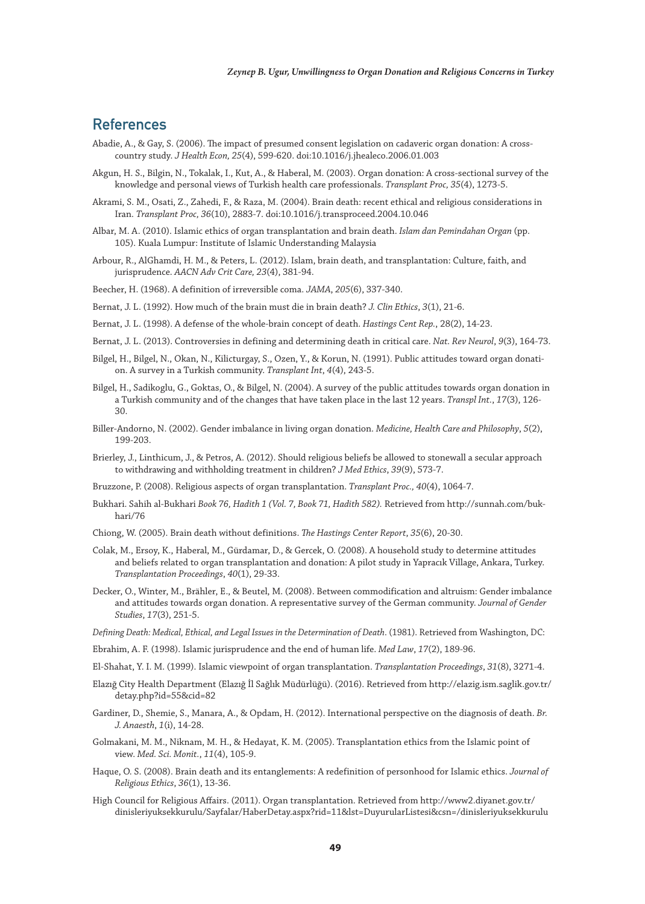## References

- Abadie, A., & Gay, S. (2006). The impact of presumed consent legislation on cadaveric organ donation: A crosscountry study. *J Health Econ, 25*(4), 599-620. doi:10.1016/j.jhealeco.2006.01.003
- Akgun, H. S., Bilgin, N., Tokalak, I., Kut, A., & Haberal, M. (2003). Organ donation: A cross-sectional survey of the knowledge and personal views of Turkish health care professionals. *Transplant Proc, 35*(4), 1273-5.
- Akrami, S. M., Osati, Z., Zahedi, F., & Raza, M. (2004). Brain death: recent ethical and religious considerations in Iran. *Transplant Proc, 36*(10), 2883-7. doi:10.1016/j.transproceed.2004.10.046
- Albar, M. A. (2010). Islamic ethics of organ transplantation and brain death. *Islam dan Pemindahan Organ* (pp. 105). Kuala Lumpur: Institute of Islamic Understanding Malaysia
- Arbour, R., AlGhamdi, H. M., & Peters, L. (2012). Islam, brain death, and transplantation: Culture, faith, and jurisprudence. *AACN Adv Crit Care, 23*(4), 381-94.
- Beecher, H. (1968). A definition of irreversible coma. *JAMA*, *205*(6), 337-340.
- Bernat, J. L. (1992). How much of the brain must die in brain death? *J. Clin Ethics*, *3*(1), 21-6.
- Bernat, J. L. (1998). A defense of the whole-brain concept of death. *Hastings Cent Rep.*, 28(2), 14-23.
- Bernat, J. L. (2013). Controversies in defining and determining death in critical care. *Nat. Rev Neurol*, *9*(3), 164-73.
- Bilgel, H., Bilgel, N., Okan, N., Kilicturgay, S., Ozen, Y., & Korun, N. (1991). Public attitudes toward organ donation. A survey in a Turkish community. *Transplant Int*, *4*(4), 243-5.
- Bilgel, H., Sadikoglu, G., Goktas, O., & Bilgel, N. (2004). A survey of the public attitudes towards organ donation in a Turkish community and of the changes that have taken place in the last 12 years. *Transpl Int.*, *17*(3), 126- 30.
- Biller-Andorno, N. (2002). Gender imbalance in living organ donation. *Medicine, Health Care and Philosophy*, *5*(2), 199-203.
- Brierley, J., Linthicum, J., & Petros, A. (2012). Should religious beliefs be allowed to stonewall a secular approach to withdrawing and withholding treatment in children? *J Med Ethics*, *39*(9), 573-7.
- Bruzzone, P. (2008). Religious aspects of organ transplantation. *Transplant Proc., 40*(4), 1064-7.
- Bukhari. Sahih al-Bukhari *Book 76, Hadith 1 (Vol. 7, Book 71, Hadith 582).* Retrieved from http://sunnah.com/bukhari/76
- Chiong, W. (2005). Brain death without definitions. *The Hastings Center Report*, *35*(6), 20-30.
- Colak, M., Ersoy, K., Haberal, M., Gürdamar, D., & Gercek, O. (2008). A household study to determine attitudes and beliefs related to organ transplantation and donation: A pilot study in Yapracık Village, Ankara, Turkey. *Transplantation Proceedings*, *40*(1), 29-33.
- Decker, O., Winter, M., Brähler, E., & Beutel, M. (2008). Between commodification and altruism: Gender imbalance and attitudes towards organ donation. A representative survey of the German community. *Journal of Gender Studies*, *17*(3), 251-5.
- *Defining Death: Medical, Ethical, and Legal Issues in the Determination of Death*. (1981). Retrieved from Washington, DC:
- Ebrahim, A. F. (1998). Islamic jurisprudence and the end of human life. *Med Law*, *17*(2), 189-96.
- El-Shahat, Y. I. M. (1999). Islamic viewpoint of organ transplantation. *Transplantation Proceedings*, *31*(8), 3271-4.
- Elazığ City Health Department (Elazığ İl Sağlık Müdürlüğü). (2016). Retrieved from http://elazig.ism.saglik.gov.tr/ detay.php?id=55&cid=82
- Gardiner, D., Shemie, S., Manara, A., & Opdam, H. (2012). International perspective on the diagnosis of death. *Br. J. Anaesth*, *1*(i), 14-28.
- Golmakani, M. M., Niknam, M. H., & Hedayat, K. M. (2005). Transplantation ethics from the Islamic point of view. *Med. Sci. Monit.*, *11*(4), 105-9.
- Haque, O. S. (2008). Brain death and its entanglements: A redefinition of personhood for Islamic ethics. *Journal of Religious Ethics*, *36*(1), 13-36.
- High Council for Religious Affairs. (2011). Organ transplantation. Retrieved from http://www2.diyanet.gov.tr/ dinisleriyuksekkurulu/Sayfalar/HaberDetay.aspx?rid=11&lst=DuyurularListesi&csn=/dinisleriyuksekkurulu